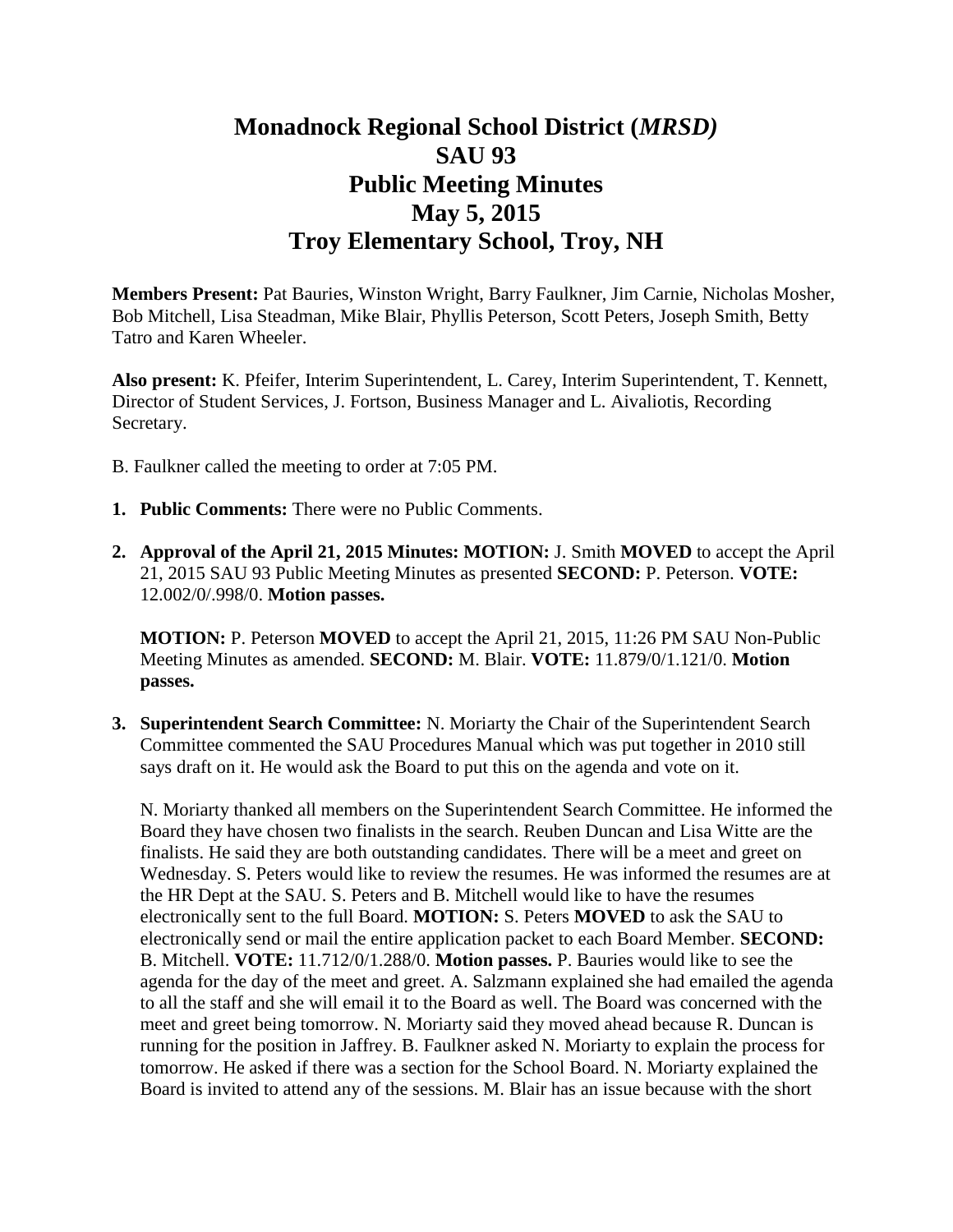## **Monadnock Regional School District (***MRSD)* **SAU 93 Public Meeting Minutes May 5, 2015 Troy Elementary School, Troy, NH**

**Members Present:** Pat Bauries, Winston Wright, Barry Faulkner, Jim Carnie, Nicholas Mosher, Bob Mitchell, Lisa Steadman, Mike Blair, Phyllis Peterson, Scott Peters, Joseph Smith, Betty Tatro and Karen Wheeler.

**Also present:** K. Pfeifer, Interim Superintendent, L. Carey, Interim Superintendent, T. Kennett, Director of Student Services, J. Fortson, Business Manager and L. Aivaliotis, Recording Secretary.

- B. Faulkner called the meeting to order at 7:05 PM.
- **1. Public Comments:** There were no Public Comments.
- **2. Approval of the April 21, 2015 Minutes: MOTION:** J. Smith **MOVED** to accept the April 21, 2015 SAU 93 Public Meeting Minutes as presented **SECOND:** P. Peterson. **VOTE:**  12.002/0/.998/0. **Motion passes.**

**MOTION:** P. Peterson **MOVED** to accept the April 21, 2015, 11:26 PM SAU Non-Public Meeting Minutes as amended. **SECOND:** M. Blair. **VOTE:** 11.879/0/1.121/0. **Motion passes.** 

**3. Superintendent Search Committee:** N. Moriarty the Chair of the Superintendent Search Committee commented the SAU Procedures Manual which was put together in 2010 still says draft on it. He would ask the Board to put this on the agenda and vote on it.

N. Moriarty thanked all members on the Superintendent Search Committee. He informed the Board they have chosen two finalists in the search. Reuben Duncan and Lisa Witte are the finalists. He said they are both outstanding candidates. There will be a meet and greet on Wednesday. S. Peters would like to review the resumes. He was informed the resumes are at the HR Dept at the SAU. S. Peters and B. Mitchell would like to have the resumes electronically sent to the full Board. **MOTION:** S. Peters **MOVED** to ask the SAU to electronically send or mail the entire application packet to each Board Member. **SECOND:**  B. Mitchell. **VOTE:** 11.712/0/1.288/0. **Motion passes.** P. Bauries would like to see the agenda for the day of the meet and greet. A. Salzmann explained she had emailed the agenda to all the staff and she will email it to the Board as well. The Board was concerned with the meet and greet being tomorrow. N. Moriarty said they moved ahead because R. Duncan is running for the position in Jaffrey. B. Faulkner asked N. Moriarty to explain the process for tomorrow. He asked if there was a section for the School Board. N. Moriarty explained the Board is invited to attend any of the sessions. M. Blair has an issue because with the short